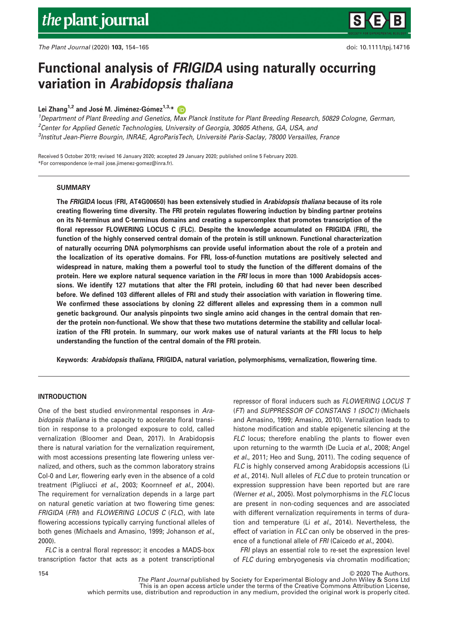# Functional analysis of FRIGIDA using naturally occurring variation in Arabidopsis thaliana

Lei Zhang<sup>1,2</sup> and José M. Jiménez-Gómez<sup>1,3,\*</sup>

<sup>1</sup>Department of Plant Breeding and Genetics, Max Planck Institute for Plant Breeding Research, 50829 Cologne, German, <sup>2</sup>Center for Applied Genetic Technologies, University of Georgia, 30605 Athens, GA, USA, and 3 Institut Jean-Pierre Bourgin, INRAE, AgroParisTech, Universite Paris-Saclay, 78000 Versailles, France

Received 5 October 2019; revised 16 January 2020; accepted 29 January 2020; published online 5 February 2020. \*For correspondence (e-mail [jose.jimenez-gomez@inra.fr](mailto:jose.jimenez-gomez@inra.fr)).

# **SUMMARY**

The FRIGIDA locus (FRI, AT4G00650) has been extensively studied in Arabidopsis thaliana because of its role creating flowering time diversity. The FRI protein regulates flowering induction by binding partner proteins on its N-terminus and C-terminus domains and creating a supercomplex that promotes transcription of the floral repressor FLOWERING LOCUS C (FLC). Despite the knowledge accumulated on FRIGIDA (FRI), the function of the highly conserved central domain of the protein is still unknown. Functional characterization of naturally occurring DNA polymorphisms can provide useful information about the role of a protein and the localization of its operative domains. For FRI, loss-of-function mutations are positively selected and widespread in nature, making them a powerful tool to study the function of the different domains of the protein. Here we explore natural sequence variation in the FRI locus in more than 1000 Arabidopsis accessions. We identify 127 mutations that alter the FRI protein, including 60 that had never been described before. We defined 103 different alleles of FRI and study their association with variation in flowering time. We confirmed these associations by cloning 22 different alleles and expressing them in a common null genetic background. Our analysis pinpoints two single amino acid changes in the central domain that render the protein non-functional. We show that these two mutations determine the stability and cellular localization of the FRI protein. In summary, our work makes use of natural variants at the FRI locus to help understanding the function of the central domain of the FRI protein.

Keywords: Arabidopsis thaliana, FRIGIDA, natural variation, polymorphisms, vernalization, flowering time.

# INTRODUCTION

One of the best studied environmental responses in Arabidopsis thaliana is the capacity to accelerate floral transition in response to a prolonged exposure to cold, called vernalization (Bloomer and Dean, 2017). In Arabidopsis there is natural variation for the vernalization requirement, with most accessions presenting late flowering unless vernalized, and others, such as the common laboratory strains Col-0 and Ler, flowering early even in the absence of a cold treatment (Pigliucci et al., 2003; Koornneef et al., 2004). The requirement for vernalization depends in a large part on natural genetic variation at two flowering time genes: FRIGIDA (FRI) and FLOWERING LOCUS C (FLC), with late flowering accessions typically carrying functional alleles of both genes (Michaels and Amasino, 1999; Johanson et al., 2000).

FLC is a central floral repressor; it encodes a MADS-box transcription factor that acts as a potent transcriptional

repressor of floral inducers such as FLOWERING LOCUS T (FT) and SUPPRESSOR OF CONSTANS 1 (SOC1) (Michaels and Amasino, 1999; Amasino, 2010). Vernalization leads to histone modification and stable epigenetic silencing at the FLC locus; therefore enabling the plants to flower even upon returning to the warmth (De Lucia et al., 2008; Angel et al., 2011; Heo and Sung, 2011). The coding sequence of FLC is highly conserved among Arabidopsis accessions (Li et al., 2014). Null alleles of FLC due to protein truncation or expression suppression have been reported but are rare (Werner et al., 2005). Most polymorphisms in the FLC locus are present in non-coding sequences and are associated with different vernalization requirements in terms of duration and temperature (Li et al., 2014). Nevertheless, the effect of variation in FLC can only be observed in the presence of a functional allele of FRI (Caicedo et al., 2004).

FRI plays an essential role to re-set the expression level of FLC during embryogenesis via chromatin modification;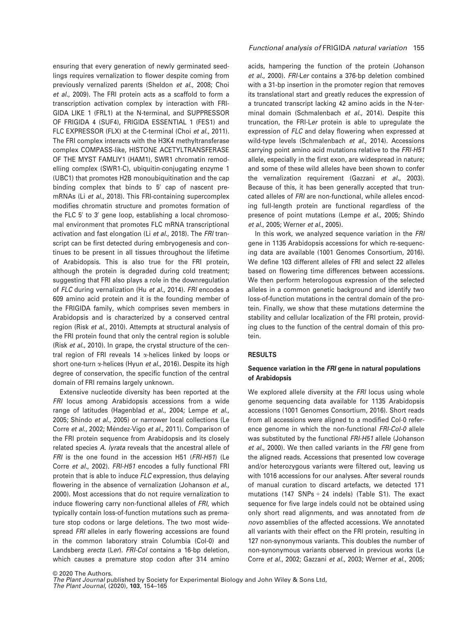ensuring that every generation of newly germinated seedlings requires vernalization to flower despite coming from previously vernalized parents (Sheldon et al., 2008; Choi et al., 2009). The FRI protein acts as a scaffold to form a transcription activation complex by interaction with FRI-GIDA LIKE 1 (FRL1) at the N-terminal, and SUPPRESSOR OF FRIGIDA 4 (SUF4), FRIGIDA ESSENTIAL 1 (FES1) and FLC EXPRESSOR (FLX) at the C-terminal (Choi et al., 2011). The FRI complex interacts with the H3K4 methyltransferase complex COMPASS-like, HISTONE ACETYLTRANSFERASE OF THE MYST FAMLIY1 (HAM1), SWR1 chromatin remodelling complex (SWR1-C), ubiquitin-conjugating enzyme 1 (UBC1) that promotes H2B monoubiquitination and the cap binding complex that binds to  $5'$  cap of nascent premRNAs (Li et al., 2018). This FRI-containing supercomplex modifies chromatin structure and promotes formation of the FLC  $5'$  to  $3'$  gene loop, establishing a local chromosomal environment that promotes FLC mRNA transcriptional activation and fast elongation (Li et al., 2018). The FRI transcript can be first detected during embryogenesis and continues to be present in all tissues throughout the lifetime of Arabidopsis. This is also true for the FRI protein, although the protein is degraded during cold treatment; suggesting that FRI also plays a role in the downregulation of FLC during vernalization (Hu et al., 2014). FRI encodes a 609 amino acid protein and it is the founding member of the FRIGIDA family, which comprises seven members in Arabidopsis and is characterized by a conserved central region (Risk et al., 2010). Attempts at structural analysis of the FRI protein found that only the central region is soluble (Risk et al., 2010). In grape, the crystal structure of the central region of FRI reveals 14  $\alpha$ -helices linked by loops or short one-turn  $\alpha$ -helices (Hyun *et al.*, 2016). Despite its high degree of conservation, the specific function of the central domain of FRI remains largely unknown.

Extensive nucleotide diversity has been reported at the FRI locus among Arabidopsis accessions from a wide range of latitudes (Hagenblad et al., 2004; Lempe et al., 2005; Shindo et al., 2005) or narrower local collections (Le Corre et al., 2002; Méndez-Vigo et al., 2011). Comparison of the FRI protein sequence from Arabidopsis and its closely related species A. lyrata reveals that the ancestral allele of FRI is the one found in the accession H51 (FRI-H51) (Le Corre et al., 2002). FRI-H51 encodes a fully functional FRI protein that is able to induce FLC expression, thus delaying flowering in the absence of vernalization (Johanson et al., 2000). Most accessions that do not require vernalization to induce flowering carry non-functional alleles of FRI, which typically contain loss-of-function mutations such as premature stop codons or large deletions. The two most widespread FRI alleles in early flowering accessions are found in the common laboratory strain Columbia (Col-0) and Landsberg erecta (Ler). FRI-Col contains a 16-bp deletion, which causes a premature stop codon after 314 amino

# Functional analysis of FRIGIDA natural variation 155

acids, hampering the function of the protein (Johanson et al., 2000). FRI-Ler contains a 376-bp deletion combined with a 31-bp insertion in the promoter region that removes its translational start and greatly reduces the expression of a truncated transcript lacking 42 amino acids in the N-terminal domain (Schmalenbach et al., 2014). Despite this truncation, the FRI-Ler protein is able to upregulate the expression of FLC and delay flowering when expressed at wild-type levels (Schmalenbach et al., 2014). Accessions carrying point amino acid mutations relative to the FRI-H51 allele, especially in the first exon, are widespread in nature; and some of these wild alleles have been shown to confer the vernalization requirement (Gazzani et al., 2003). Because of this, it has been generally accepted that truncated alleles of FRI are non-functional, while alleles encoding full-length protein are functional regardless of the presence of point mutations (Lempe et al., 2005; Shindo et al., 2005; Werner et al., 2005).

In this work, we analyzed sequence variation in the FRI gene in 1135 Arabidopsis accessions for which re-sequencing data are available (1001 Genomes Consortium, 2016). We define 103 different alleles of FRI and select 22 alleles based on flowering time differences between accessions. We then perform heterologous expression of the selected alleles in a common genetic background and identify two loss-of-function mutations in the central domain of the protein. Finally, we show that these mutations determine the stability and cellular localization of the FRI protein, providing clues to the function of the central domain of this protein.

# RESULTS

# Sequence variation in the FRI gene in natural populations of Arabidopsis

We explored allele diversity at the FRI locus using whole genome sequencing data available for 1135 Arabidopsis accessions (1001 Genomes Consortium, 2016). Short reads from all accessions were aligned to a modified Col-0 reference genome in which the non-functional FRI-Col-0 allele was substituted by the functional FRI-H51 allele (Johanson et al., 2000). We then called variants in the FRI gene from the aligned reads. Accessions that presented low coverage and/or heterozygous variants were filtered out, leaving us with 1016 accessions for our analyses. After several rounds of manual curation to discard artefacts, we detected 171 mutations (147 SNPs  $+ 24$  indels) (Table S1). The exact sequence for five large indels could not be obtained using only short read alignments, and was annotated from de novo assemblies of the affected accessions. We annotated all variants with their effect on the FRI protein, resulting in 127 non-synonymous variants. This doubles the number of non-synonymous variants observed in previous works (Le Corre et al., 2002; Gazzani et al., 2003; Werner et al., 2005;

© 2020 The Authors. The Plant Journal published by Society for Experimental Biology and John Wiley & Sons Ltd,

The Plant Journal, (2020), 103, 154–165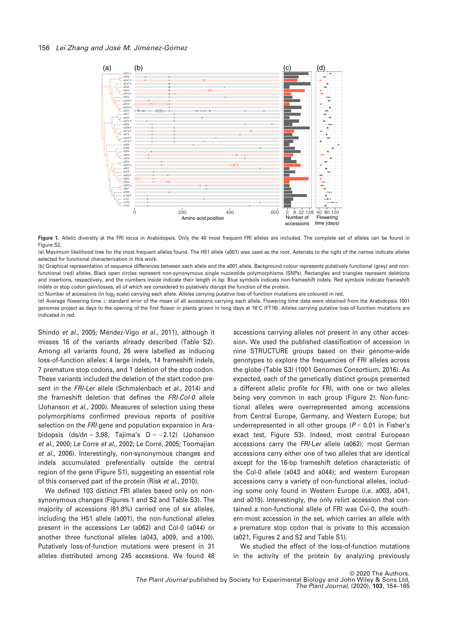

Figure 1. Allelic diversity at the FRI locus in Arabidopsis. Only the 40 most frequent FRI alleles are included. The complete set of alleles can be found in Figure S2.

(a) Maximum likelihood tree for the most frequent alleles found. The H51 allele (a001) was used as the root. Asterisks to the right of the names indicate alleles selected for functional characterization in this work.

(b) Graphical representation of sequence differences between each allele and the a001 allele. Background colour represents putatively functional (grey) and nonfunctional (red) alleles. Black open circles represent non-synonymous single nucleotide polymorphisms (SNPs). Rectangles and triangles represent deletions and insertions, respectively, and the numbers inside indicate their length in bp. Blue symbols indicate non-frameshift indels. Red symbols indicate frameshift indels or stop codon gain/losses, all of which are considered to putatively disrupt the function of the protein.

(c) Number of accessions (in log<sub>2</sub> scale) carrying each allele. Alleles carrying putative loss-of-function mutations are coloured in red.

(d) Average flowering time  $\pm$  standard error of the mean of all accessions carrying each allele. Flowering time data were obtained from the Arabidopsis 1001 genomes project as days to the opening of the first flower in plants grown in long days at 16°C (FT16). Alleles carrying putative loss-of-function mutations are indicated in red.

Shindo et al., 2005; Méndez-Vigo et al., 2011), although it misses 16 of the variants already described (Table S2). Among all variants found, 26 were labelled as inducing loss-of-function alleles: 4 large indels, 14 frameshift indels, 7 premature stop codons, and 1 deletion of the stop codon. These variants included the deletion of the start codon present in the FRI-Ler allele (Schmalenbach et al., 2014) and the frameshift deletion that defines the FRI-Col-0 allele (Johanson et al., 2000). Measures of selection using these polymorphisms confirmed previous reports of positive selection on the FRI gene and population expansion in Arabidopsis (ds/dn = 3.98, Tajima's  $D = -2.12$ ) (Johanson et al., 2000; Le Corre et al., 2002; Le Corre, 2005; Toomajian et al., 2006). Interestingly, non-synonymous changes and indels accumulated preferentially outside the central region of the gene (Figure S1), suggesting an essential role of this conserved part of the protein (Risk et al., 2010).

We defined 103 distinct FRI alleles based only on nonsynonymous changes (Figures 1 and S2 and Table S3). The majority of accessions (61.8%) carried one of six alleles, including the H51 allele (a001), the non-functional alleles present in the accessions Ler (a062) and Col-0 (a044) or another three functional alleles (a043, a009, and a100). Putatively loss-of-function mutations were present in 31 alleles distributed among 245 accessions. We found 48 accessions carrying alleles not present in any other accession. We used the published classification of accession in nine STRUCTURE groups based on their genome-wide genotypes to explore the frequencies of FRI alleles across the globe (Table S3) (1001 Genomes Consortium, 2016). As expected, each of the genetically distinct groups presented a different allelic profile for FRI, with one or two alleles being very common in each group (Figure 2). Non-functional alleles were overrepresented among accessions from Central Europe, Germany, and Western Europe; but underrepresented in all other groups ( $P < 0.01$  in Fisher's exact test, Figure S3). Indeed, most central European accessions carry the FRI-Ler allele (a062); most German accessions carry either one of two alleles that are identical except for the 16-bp frameshift deletion characteristic of the Col-0 allele (a043 and a044); and western European accessions carry a variety of non-functional alleles, including some only found in Western Europe (i.e. a003, a041, and a019). Interestingly, the only relict accession that contained a non-functional allele of FRI was Cvi-0, the southern-most accession in the set, which carries an allele with a premature stop codon that is private to this accession (a021, Figures 2 and S2 and Table S1).

We studied the effect of the loss-of-function mutations in the activity of the protein by analyzing previously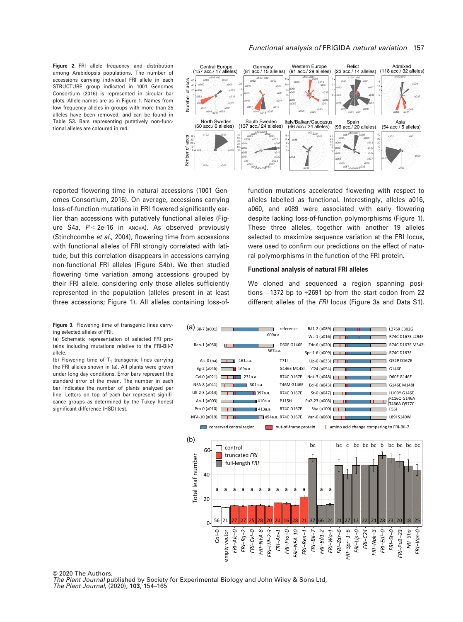Figure 2. FRI allele frequency and distribution among Arabidopsis populations. The number of accessions carrying individual FRI allele in each STRUCTURE group indicated in 1001 Genomes Consortium (2016) is represented in circular bar plots. Allele names are as in Figure 1. Names from low frequency alleles in groups with more than 25 alleles have been removed, and can be found in Table S3. Bars representing putatively non-functional alleles are coloured in red.



reported flowering time in natural accessions (1001 Genomes Consortium, 2016). On average, accessions carrying loss-of-function mutations in FRI flowered significantly earlier than accessions with putatively functional alleles (Figure S4a,  $P < 2e-16$  in ANOVA). As observed previously (Stinchcombe et al., 2004), flowering time from accessions with functional alleles of FRI strongly correlated with latitude, but this correlation disappears in accessions carrying non-functional FRI alleles (Figure S4b). We then studied flowering time variation among accessions grouped by their FRI allele, considering only those alleles sufficiently represented in the population (alleles present in at least three accessions; Figure 1). All alleles containing loss-of-

function mutations accelerated flowering with respect to alleles labelled as functional. Interestingly, alleles a016, a060, and a089 were associated with early flowering despite lacking loss-of-function polymorphisms (Figure 1). These three alleles, together with another 19 alleles selected to maximize sequence variation at the FRI locus, were used to confirm our predictions on the effect of natural polymorphisms in the function of the FRI protein.

## Functional analysis of natural FRI alleles

We cloned and sequenced a region spanning posi $tions - 1372$  bp to  $+2691$  bp from the start codon from 22 different alleles of the FRI locus (Figure 3a and Data S1).

Figure 3. Flowering time of transgenic lines carrying selected alleles of FRI.

(a) Schematic representation of selected FRI proteins including mutations relative to the FRI-Bil-7 allele.

(b) Flowering time of  $T_1$  transgenic lines carrying the FRI alleles shown in (a). All plants were grown under long day conditions. Error bars represent the standard error of the mean. The number in each bar indicates the number of plants analyzed per line. Letters on top of each bar represent significance groups as determined by the Tukey honest significant difference (HSD) test.



© 2020 The Authors. The Plant Journal published by Society for Experimental Biology and John Wiley & Sons Ltd, The Plant Journal, (2020), 103, 154–165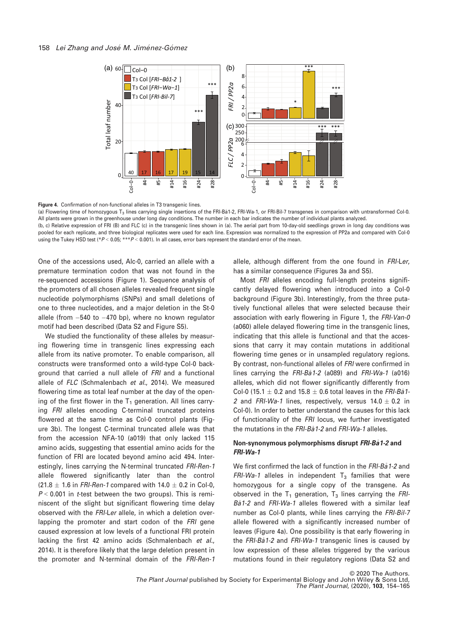



(a) Flowering time of homozygous  $T_3$  lines carrying single insertions of the FRI-Ba1-2, FRI-Wa-1, or FRI-Bil-7 transgenes in comparison with untransformed Col-0. All plants were grown in the greenhouse under long day conditions. The number in each bar indicates the number of individual plants analyzed. (b, c) Relative expression of FRI (B) and FLC (c) in the transgenic lines shown in (a). The aerial part from 10-day-old seedlings grown in long day conditions was

pooled for each replicate, and three biological replicates were used for each line. Expression was normalized to the expression of PP2a and compared with Col-0 using the Tukey HSD test (\*P < 0.05; \*\*\*P < 0.001). In all cases, error bars represent the standard error of the mean.

One of the accessions used, Alc-0, carried an allele with a premature termination codon that was not found in the re-sequenced accessions (Figure 1). Sequence analysis of the promoters of all chosen alleles revealed frequent single nucleotide polymorphisms (SNPs) and small deletions of one to three nucleotides, and a major deletion in the St-0 allele (from -540 to -470 bp), where no known regulator motif had been described (Data S2 and Figure S5).

We studied the functionality of these alleles by measuring flowering time in transgenic lines expressing each allele from its native promoter. To enable comparison, all constructs were transformed onto a wild-type Col-0 background that carried a null allele of FRI and a functional allele of FLC (Schmalenbach et al., 2014). We measured flowering time as total leaf number at the day of the opening of the first flower in the  $T_1$  generation. All lines carrying FRI alleles encoding C-terminal truncated proteins flowered at the same time as Col-0 control plants (Figure 3b). The longest C-terminal truncated allele was that from the accession NFA-10 (a019) that only lacked 115 amino acids, suggesting that essential amino acids for the function of FRI are located beyond amino acid 494. Interestingly, lines carrying the N-terminal truncated FRI-Ren-1 allele flowered significantly later than the control  $(21.8 \pm 1.6$  in FRI-Ren-1 compared with  $14.0 \pm 0.2$  in Col-0,  $P < 0.001$  in *t*-test between the two groups). This is reminiscent of the slight but significant flowering time delay observed with the FRI-Ler allele, in which a deletion overlapping the promoter and start codon of the FRI gene caused expression at low levels of a functional FRI protein lacking the first 42 amino acids (Schmalenbach et al., 2014). It is therefore likely that the large deletion present in the promoter and N-terminal domain of the FRI-Ren-1 allele, although different from the one found in FRI-Ler. has a similar consequence (Figures 3a and S5).

Most FRI alleles encoding full-length proteins significantly delayed flowering when introduced into a Col-0 background (Figure 3b). Interestingly, from the three putatively functional alleles that were selected because their association with early flowering in Figure 1, the FRI-Van-0 (a060) allele delayed flowering time in the transgenic lines, indicating that this allele is functional and that the accessions that carry it may contain mutations in additional flowering time genes or in unsampled regulatory regions. By contrast, non-functional alleles of FRI were confirmed in lines carrying the  $FRI-Ba1-2$  (a089) and  $FRI-Wa-1$  (a016) alleles, which did not flower significantly differently from Col-0 (15.1  $\pm$  0.2 and 15.8  $\pm$  0.6 total leaves in the FRI-Ba1-2 and FRI-Wa-1 lines, respectively, versus  $14.0 \pm 0.2$  in Col-0). In order to better understand the causes for this lack of functionality of the FRI locus, we further investigated the mutations in the FRI-Ba1-2 and FRI-Wa-1 alleles.

# Non-synonymous polymorphisms disrupt FRI-Ba1-2 and FRI-Wa-1

We first confirmed the lack of function in the FRI-Ba1-2 and FRI-Wa-1 alleles in independent  $T_3$  families that were homozygous for a single copy of the transgene. As observed in the  $T_1$  generation,  $T_3$  lines carrying the FRI-Ba<sub>1</sub>-2 and FRI-Wa-1 alleles flowered with a similar leaf number as Col-0 plants, while lines carrying the FRI-Bil-7 allele flowered with a significantly increased number of leaves (Figure 4a). One possibility is that early flowering in the FRI-Ba1-2 and FRI-Wa-1 transgenic lines is caused by low expression of these alleles triggered by the various mutations found in their regulatory regions (Data S2 and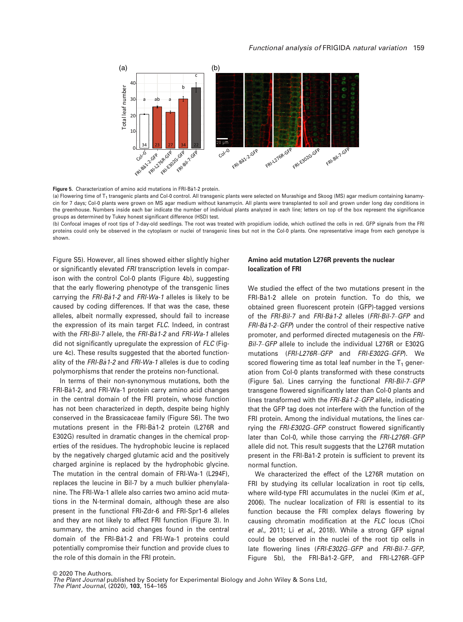

Figure 5. Characterization of amino acid mutations in FRI-Bå1-2 protein.

(a) Flowering time of  $T_1$  transgenic plants and Col-0 control. All transgenic plants were selected on Murashige and Skoog (MS) agar medium containing kanamycin for 7 days; Col-0 plants were grown on MS agar medium without kanamycin. All plants were transplanted to soil and grown under long day conditions in the greenhouse. Numbers inside each bar indicate the number of individual plants analyzed in each line; letters on top of the box represent the significance groups as determined by Tukey honest significant difference (HSD) test.

(b) Confocal images of root tips of 7-day-old seedlings. The root was treated with propidium iodide, which outlined the cells in red. GFP signals from the FRI proteins could only be observed in the cytoplasm or nuclei of transgenic lines but not in the Col-0 plants. One representative image from each genotype is shown.

Figure S5). However, all lines showed either slightly higher or significantly elevated FRI transcription levels in comparison with the control Col-0 plants (Figure 4b), suggesting that the early flowering phenotype of the transgenic lines carrying the FRI-Ba1-2 and FRI-Wa-1 alleles is likely to be caused by coding differences. If that was the case, these alleles, albeit normally expressed, should fail to increase the expression of its main target FLC. Indeed, in contrast with the FRI-Bil-7 allele, the FRI-Ba1-2 and FRI-Wa-1 alleles did not significantly upregulate the expression of FLC (Figure 4c). These results suggested that the aborted functionality of the  $FRI-Ba1-2$  and  $FRI-Wa-1$  alleles is due to coding polymorphisms that render the proteins non-functional.

In terms of their non-synonymous mutations, both the FRI-Ba1-2, and FRI-Wa-1 protein carry amino acid changes in the central domain of the FRI protein, whose function has not been characterized in depth, despite being highly conserved in the Brassicaceae family (Figure S6). The two mutations present in the FRI-Ba1-2 protein (L276R and E302G) resulted in dramatic changes in the chemical properties of the residues. The hydrophobic leucine is replaced by the negatively charged glutamic acid and the positively charged arginine is replaced by the hydrophobic glycine. The mutation in the central domain of FRI-Wa-1 (L294F), replaces the leucine in Bil-7 by a much bulkier phenylalanine. The FRI-Wa-1 allele also carries two amino acid mutations in the N-terminal domain, although these are also present in the functional FRI-Zdr-6 and FRI-Spr1-6 alleles and they are not likely to affect FRI function (Figure 3). In summary, the amino acid changes found in the central domain of the FRI-Ba1-2 and FRI-Wa-1 proteins could potentially compromise their function and provide clues to the role of this domain in the FRI protein.

# Amino acid mutation L276R prevents the nuclear localization of FRI

We studied the effect of the two mutations present in the FRI-Ba1-2 allele on protein function. To do this, we obtained green fluorescent protein (GFP)-tagged versions of the FRI-Bil-7 and FRI-Ba1-2 alleles (FRI-Bil-7-GFP and FRI-Ba1-2-GFP) under the control of their respective native promoter, and performed directed mutagenesis on the FRI-Bil-7–GFP allele to include the individual L276R or E302G mutations (FRI-L276R–GFP and FRI-E302G–GFP). We scored flowering time as total leaf number in the  $T_1$  generation from Col-0 plants transformed with these constructs (Figure 5a). Lines carrying the functional FRI-Bil-7–GFP transgene flowered significantly later than Col-0 plants and lines transformed with the FRI-Ba1-2–GFP allele, indicating that the GFP tag does not interfere with the function of the FRI protein. Among the individual mutations, the lines carrying the FRI-E302G–GFP construct flowered significantly later than Col-0, while those carrying the FRI-L276R-GFP allele did not. This result suggests that the L276R mutation present in the FRI-Ba1-2 protein is sufficient to prevent its normal function.

We characterized the effect of the L276R mutation on FRI by studying its cellular localization in root tip cells, where wild-type FRI accumulates in the nuclei (Kim et al., 2006). The nuclear localization of FRI is essential to its function because the FRI complex delays flowering by causing chromatin modification at the FLC locus (Choi et al., 2011; Li et al., 2018). While a strong GFP signal could be observed in the nuclei of the root tip cells in late flowering lines (FRI-E302G–GFP and FRI-Bil-7–GFP, Figure 5b), the FRI-Ba1-2–GFP, and FRI-L276R–GFP

© 2020 The Authors.

The Plant Journal published by Society for Experimental Biology and John Wiley & Sons Ltd, The Plant Journal, (2020), 103, 154–165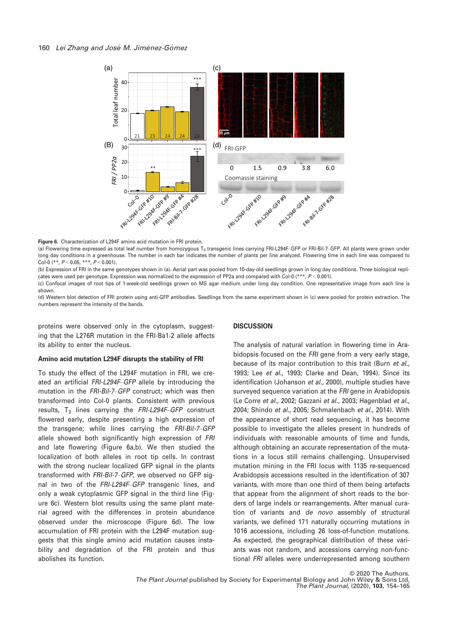

Figure 6. Characterization of L294F amino acid mutation in FRI protein.

(a) Flowering time expressed as total leaf number from homozygous T<sub>2</sub> transgenic lines carrying FRI-L294F–GFP or FRI-Bil-7–GFP. All plants were grown under long day conditions in a greenhouse. The number in each bar indicates the number of plants per line analyzed. Flowering time in each line was compared to Col-0 (\*\*,  $P < 0.05$ , \*\*\*,  $P < 0.001$ ).

(b) Expression of FRI in the same genotypes shown in (a). Aerial part was pooled from 10-day-old seedlings grown in long day conditions. Three biological replicates were used per genotype. Expression was normalized to the expression of PP2a and compared with Col-0 (\*\*\*,  $P < 0.001$ ).

(c) Confocal images of root tips of 1-week-old seedlings grown on MS agar medium under long day condition. One representative image from each line is shown.

(d) Western blot detection of FRI protein using anti-GFP antibodies. Seedlings from the same experiment shown in (c) were pooled for protein extraction. The numbers represent the intensity of the bands.

proteins were observed only in the cytoplasm, suggesting that the L276R mutation in the FRI-Ba1-2 allele affects its ability to enter the nucleus.

## Amino acid mutation L294F disrupts the stability of FRI

To study the effect of the L294F mutation in FRI, we created an artificial FRI-L294F–GFP allele by introducing the mutation in the FRI-Bil-7–GFP construct; which was then transformed into Col-0 plants. Consistent with previous results,  $T_3$  lines carrying the  $FRI-L294F-GFP$  construct flowered early, despite presenting a high expression of the transgene; while lines carrying the FRI-Bil-7–GFP allele showed both significantly high expression of FRI and late flowering (Figure 6a,b). We then studied the localization of both alleles in root tip cells. In contrast with the strong nuclear localized GFP signal in the plants transformed with FRI-Bil-7–GFP, we observed no GFP signal in two of the FRI-L294F–GFP transgenic lines, and only a weak cytoplasmic GFP signal in the third line (Figure 6c). Western blot results using the same plant material agreed with the differences in protein abundance observed under the microscope (Figure 6d). The low accumulation of FRI protein with the L294F mutation suggests that this single amino acid mutation causes instability and degradation of the FRI protein and thus abolishes its function.

## **DISCUSSION**

The analysis of natural variation in flowering time in Arabidopsis focused on the FRI gene from a very early stage. because of its major contribution to this trait (Burn et al., 1993; Lee et al., 1993; Clarke and Dean, 1994). Since its identification (Johanson et al., 2000), multiple studies have surveyed sequence variation at the FRI gene in Arabidopsis (Le Corre et al., 2002; Gazzani et al., 2003; Hagenblad et al., 2004; Shindo et al., 2005; Schmalenbach et al., 2014). With the appearance of short read sequencing, it has become possible to investigate the alleles present in hundreds of individuals with reasonable amounts of time and funds, although obtaining an accurate representation of the mutations in a locus still remains challenging. Unsupervised mutation mining in the FRI locus with 1135 re-sequenced Arabidopsis accessions resulted in the identification of 307 variants, with more than one third of them being artefacts that appear from the alignment of short reads to the borders of large indels or rearrangements. After manual curation of variants and de novo assembly of structural variants, we defined 171 naturally occurring mutations in 1016 accessions, including 26 loss-of-function mutations. As expected, the geographical distribution of these variants was not random, and accessions carrying non-functional FRI alleles were underrepresented among southern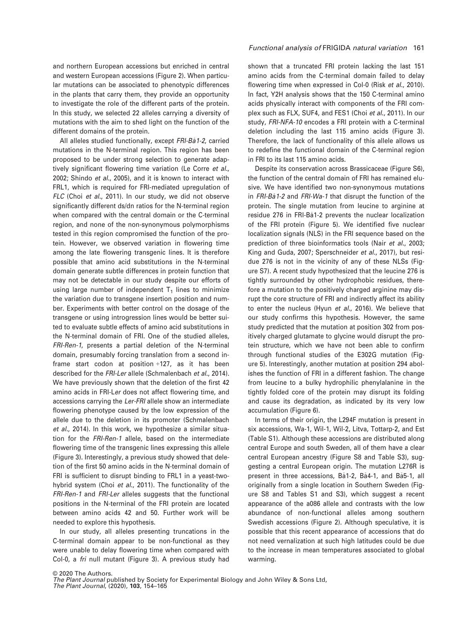and northern European accessions but enriched in central and western European accessions (Figure 2). When particular mutations can be associated to phenotypic differences in the plants that carry them, they provide an opportunity to investigate the role of the different parts of the protein. In this study, we selected 22 alleles carrying a diversity of mutations with the aim to shed light on the function of the different domains of the protein.

All alleles studied functionally, except FRI-Ba1-2, carried mutations in the N-terminal region. This region has been proposed to be under strong selection to generate adaptively significant flowering time variation (Le Corre et al., 2002; Shindo et al., 2005), and it is known to interact with FRL1, which is required for FRI-mediated upregulation of FLC (Choi et al., 2011). In our study, we did not observe significantly different ds/dn ratios for the N-terminal region when compared with the central domain or the C-terminal region, and none of the non-synonymous polymorphisms tested in this region compromised the function of the protein. However, we observed variation in flowering time among the late flowering transgenic lines. It is therefore possible that amino acid substitutions in the N-terminal domain generate subtle differences in protein function that may not be detectable in our study despite our efforts of using large number of independent  $T_1$  lines to minimize the variation due to transgene insertion position and number. Experiments with better control on the dosage of the transgene or using introgression lines would be better suited to evaluate subtle effects of amino acid substitutions in the N-terminal domain of FRI. One of the studied alleles, FRI-Ren-1, presents a partial deletion of the N-terminal domain, presumably forcing translation from a second inframe start codon at position +127, as it has been described for the FRI-Ler allele (Schmalenbach et al., 2014). We have previously shown that the deletion of the first 42 amino acids in FRI-Ler does not affect flowering time, and accessions carrying the Ler-FRI allele show an intermediate flowering phenotype caused by the low expression of the allele due to the deletion in its promoter (Schmalenbach et al., 2014). In this work, we hypothesize a similar situation for the FRI-Ren-1 allele, based on the intermediate flowering time of the transgenic lines expressing this allele (Figure 3). Interestingly, a previous study showed that deletion of the first 50 amino acids in the N-terminal domain of FRI is sufficient to disrupt binding to FRL1 in a yeast-twohybrid system (Choi et al., 2011). The functionality of the FRI-Ren-1 and FRI-Ler alleles suggests that the functional positions in the N-terminal of the FRI protein are located between amino acids 42 and 50. Further work will be needed to explore this hypothesis.

In our study, all alleles presenting truncations in the C-terminal domain appear to be non-functional as they were unable to delay flowering time when compared with Col-0, a fri null mutant (Figure 3). A previous study had

# Functional analysis of FRIGIDA natural variation 161

shown that a truncated FRI protein lacking the last 151 amino acids from the C-terminal domain failed to delay flowering time when expressed in Col-0 (Risk et al., 2010). In fact, Y2H analysis shows that the 150 C-terminal amino acids physically interact with components of the FRI complex such as FLX, SUF4, and FES1 (Choi et al., 2011). In our study, FRI-NFA-10 encodes a FRI protein with a C-terminal deletion including the last 115 amino acids (Figure 3). Therefore, the lack of functionality of this allele allows us to redefine the functional domain of the C-terminal region in FRI to its last 115 amino acids.

Despite its conservation across Brassicaceae (Figure S6), the function of the central domain of FRI has remained elusive. We have identified two non-synonymous mutations in FRI-Ba1-2 and FRI-Wa-1 that disrupt the function of the protein. The single mutation from leucine to arginine at residue 276 in FRI-Ba1-2 prevents the nuclear localization of the FRI protein (Figure 5). We identified five nuclear localization signals (NLS) in the FRI sequence based on the prediction of three bioinformatics tools (Nair et al., 2003; King and Guda, 2007; Sperschneider et al., 2017), but residue 276 is not in the vicinity of any of these NLSs (Figure S7). A recent study hypothesized that the leucine 276 is tightly surrounded by other hydrophobic residues, therefore a mutation to the positively charged arginine may disrupt the core structure of FRI and indirectly affect its ability to enter the nucleus (Hyun et al., 2016). We believe that our study confirms this hypothesis. However, the same study predicted that the mutation at position 302 from positively charged glutamate to glycine would disrupt the protein structure, which we have not been able to confirm through functional studies of the E302G mutation (Figure 5). Interestingly, another mutation at position 294 abolishes the function of FRI in a different fashion. The change from leucine to a bulky hydrophilic phenylalanine in the tightly folded core of the protein may disrupt its folding and cause its degradation, as indicated by its very low accumulation (Figure 6).

In terms of their origin, the L294F mutation is present in six accessions, Wa-1, Wil-1, Wil-2, Litva, Tottarp-2, and Est (Table S1). Although these accessions are distributed along central Europe and south Sweden, all of them have a clear central European ancestry (Figure S8 and Table S3), suggesting a central European origin. The mutation L276R is present in three accessions, Bå1-2, Bå4-1, and Bå5-1, all originally from a single location in Southern Sweden (Figure S8 and Tables S1 and S3), which suggest a recent appearance of the a086 allele and contrasts with the low abundance of non-functional alleles among southern Swedish accessions (Figure 2). Although speculative, it is possible that this recent appearance of accessions that do not need vernalization at such high latitudes could be due to the increase in mean temperatures associated to global warming.

© 2020 The Authors. The Plant Journal published by Society for Experimental Biology and John Wiley & Sons Ltd,

The Plant Journal, (2020), 103, 154–165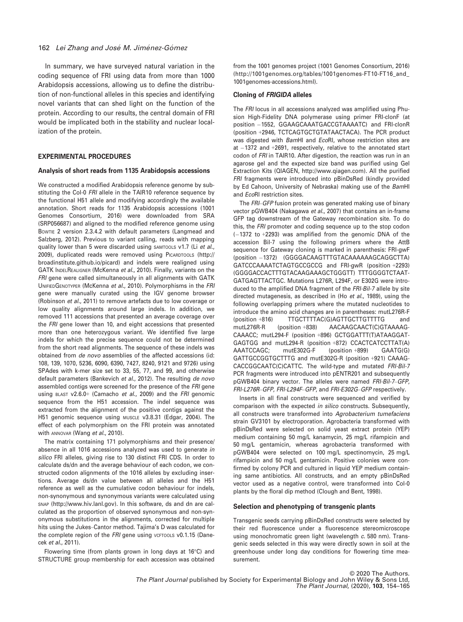In summary, we have surveyed natural variation in the coding sequence of FRI using data from more than 1000 Arabidopsis accessions, allowing us to define the distribution of non-functional alleles in this species and identifying novel variants that can shed light on the function of the protein. According to our results, the central domain of FRI would be implicated both in the stability and nuclear localization of the protein.

## EXPERIMENTAL PROCEDURES

#### Analysis of short reads from 1135 Arabidopsis accessions

We constructed a modified Arabidopsis reference genome by substituting the Col-0 FRI allele in the TAIR10 reference sequence by the functional H51 allele and modifying accordingly the available annotation. Short reads for 1135 Arabidopsis accessions (1001 Genomes Consortium, 2016) were downloaded from SRA (SRP056687) and aligned to the modified reference genome using BOWTIE 2 version 2.3.4.2 with default parameters (Langmead and Salzberg, 2012). Previous to variant calling, reads with mapping quality lower than 5 were discarded using SAMTOOLS v1.7 (Li et al., 2009), duplicated reads were removed using PICARDTOOLS [\(http://](http://broadinstitute.github.io/picard) [broadinstitute.github.io/picard](http://broadinstitute.github.io/picard)) and indels were realigned using GATK INDELREALIGNER (McKenna et al., 2010). Finally, variants on the FRI gene were called simultaneously in all alignments with GATK UNIFIEDGENOTYPER (McKenna et al., 2010). Polymorphisms in the FRI gene were manually curated using the IGV genome browser (Robinson et al., 2011) to remove artefacts due to low coverage or low quality alignments around large indels. In addition, we removed 111 accessions that presented an average coverage over the FRI gene lower than 10, and eight accessions that presented more than one heterozygous variant. We identified five large indels for which the precise sequence could not be determined from the short read alignments. The sequence of these indels was obtained from de novo assemblies of the affected accessions (id: 108, 139, 1070, 5236, 6090, 6390, 7427, 8240, 9121 and 9726) using SPAdes with k-mer size set to 33, 55, 77, and 99, and otherwise default parameters (Bankevich et al., 2012). The resulting de novo assembled contigs were screened for the presence of the FRI gene using BLAST v2.6.0+ (Camacho et al., 2009) and the FRI genomic sequence from the H51 accession. The indel sequence was extracted from the alignment of the positive contigs against the H51 genomic sequence using MUSCLE v3.8.31 (Edgar, 2004). The effect of each polymorphism on the FRI protein was annotated with ANNOVAR (Wang et al., 2010).

The matrix containing 171 polymorphisms and their presence/ absence in all 1016 accessions analyzed was used to generate in silico FRI alleles, giving rise to 130 distinct FRI CDS. In order to calculate ds/dn and the average behaviour of each codon, we constructed codon alignments of the 1016 alleles by excluding insertions. Average ds/dn value between all alleles and the H51 reference as well as the cumulative codon behaviour for indels, non-synonymous and synonymous variants were calculated using SNAP [\(http://www.hiv.lanl.gov](http://www.hiv.lanl.gov)). In this software, ds and dn are calculated as the proportion of observed synonymous and non-synonymous substitutions in the alignments, corrected for multiple hits using the Jukes–Cantor method. Tajima's D was calculated for the complete region of the FRI gene using VCFTOOLS V0.1.15 (Danecek et al., 2011).

Flowering time (from plants grown in long days at 16°C) and STRUCTURE group membership for each accession was obtained from the 1001 genomes project (1001 Genomes Consortium, 2016) ([http://1001genomes.org/tables/1001genomes-FT10-FT16\\_and\\_](http://1001genomes.org/tables/1001genomes-FT10-FT16_and_1001genomes-accessions.html) [1001genomes-accessions.html](http://1001genomes.org/tables/1001genomes-FT10-FT16_and_1001genomes-accessions.html)).

#### Cloning of FRIGIDA alleles

The FRI locus in all accessions analyzed was amplified using Phusion High-Fidelity DNA polymerase using primer FRI-clonF (at position -1552, GGAAGCAAATGACCGTAAAATC) and FRI-clonR (position +2946, TCTCAGTGCTGTATAACTACA). The PCR product was digested with BamHI and EcoRI, whose restriction sites are at -1372 and +2691, respectively, relative to the annotated start codon of FRI in TAIR10. After digestion, the reaction was run in an agarose gel and the expected size band was purified using Gel Extraction Kits (QIAGEN,<http://www.qiagen.com>). All the purified FRI fragments were introduced into pBinDsRed (kindly provided by Ed Cahoon, University of Nebraska) making use of the BamHI and EcoRI restriction sites.

The FRI–GFP fusion protein was generated making use of binary vector pGWB404 (Nakagawa et al., 2007) that contains an in-frame GFP tag downstream of the Gateway recombination site. To do this, the FRI promoter and coding sequence up to the stop codon  $(-1372$  to  $+2293)$  was amplified from the genomic DNA of the accession Bil-7 using the following primers where the AttB sequence for Gateway cloning is marked in parenthesis: FRI-gwF (position -1372) (GGGGACAAGTTTGTACAAAAAAGCAGGCTTA) GATCCCAAAATCTAGTGCCGCCG and FRI-gwR (position +2293) (GGGGACCACTTTGTACAAGAAAGCTGGGTT) TTTGGGGTCTAAT-GATGAGTTACTGC. Mutations L276R, L294F, or E302G were introduced to the amplified DNA fragment of the FRI-Bil-7 allele by site directed mutagenesis, as described in (Ho et al., 1989), using the following overlapping primers where the mutated nucleotides to introduce the amino acid changes are in parentheses: mutL276R-F (position +816) TTGCTTTTAC(G)AGTTGCTTGTTTTG and mutL276R-R (position +838) AACAAGCAACT(C)GTAAAAG-CAAACC; mutL294-F (position +896) GCTGGATTT(T)ATAAGGAT-GAGTGG and mutL294-R (position +872) CCACTCATCCTTAT(A) AAATCCAGC; mutE302G-F (position +899) GAATG(G) GATTGCCGGTGCTTTG and mutE302G-R (position +921) CAAAG-CACCGGCAATC(C)CATTC. The wild-type and mutated FRI-Bil-7 PCR fragments were introduced into pENTR201 and subsequently pGWB404 binary vector. The alleles were named FRI-Bil-7–GFP, FRI-L276R–GFP, FRI-L294F–GFP, and FRI-E302G–GFP respectively.

Inserts in all final constructs were sequenced and verified by comparison with the expected in silico constructs. Subsequently, all constructs were transformed into Agrobacterium tumefaciens strain GV3101 by electroporation. Agrobacteria transformed with pBinDsRed were selected on solid yeast extract protein (YEP) medium containing 50 mg/L kanamycin, 25 mg/L rifampicin and 50 mg/L gentamicin, whereas agrobacteria transformed with pGWB404 were selected on 100 mg/L spectinomycin, 25 mg/L rifampicin and 50 mg/L gentamicin. Positive colonies were confirmed by colony PCR and cultured in liquid YEP medium containing same antibiotics. All constructs, and an empty pBinDsRed vector used as a negative control, were transformed into Col-0 plants by the floral dip method (Clough and Bent, 1998).

#### Selection and phenotyping of transgenic plants

Transgenic seeds carrying pBinDsRed constructs were selected by their red fluorescence under a fluorescence stereomicroscope using monochromatic green light (wavelength c. 580 nm). Transgenic seeds selected in this way were directly sown in soil at the greenhouse under long day conditions for flowering time measurement.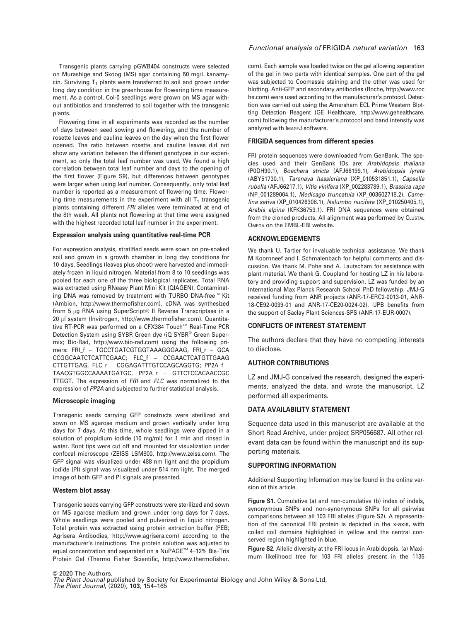Transgenic plants carrying pGWB404 constructs were selected on Murashige and Skoog (MS) agar containing 50 mg/L kanamycin. Surviving  $T_1$  plants were transferred to soil and grown under long day condition in the greenhouse for flowering time measurement. As a control, Col-0 seedlings were grown on MS agar without antibiotics and transferred to soil together with the transgenic plants.

Flowering time in all experiments was recorded as the number of days between seed sowing and flowering, and the number of rosette leaves and cauline leaves on the day when the first flower opened. The ratio between rosette and cauline leaves did not show any variation between the different genotypes in our experiment, so only the total leaf number was used. We found a high correlation between total leaf number and days to the opening of the first flower (Figure S9), but differences between genotypes were larger when using leaf number. Consequently, only total leaf number is reported as a measurement of flowering time. Flowering time measurements in the experiment with all  $T_1$  transgenic plants containing different FRI alleles were terminated at end of the 8th week. All plants not flowering at that time were assigned with the highest recorded total leaf number in the experiment.

## Expression analysis using quantitative real-time PCR

For expression analysis, stratified seeds were sown on pre-soaked soil and grown in a growth chamber in long day conditions for 10 days. Seedlings (leaves plus shoot) were harvested and immediately frozen in liquid nitrogen. Material from 8 to 10 seedlings was pooled for each one of the three biological replicates. Total RNA was extracted using RNeasy Plant Mini Kit (QIAGEN). Contaminating DNA was removed by treatment with TURBO DNA-free<sup>™</sup> Kit (Ambion,<http://www.thermofisher.com>). cDNA was synthesized from 5 µg RNA using SuperScript<sup>®</sup> II Reverse Transcriptase in a 20 µl system (Invitrogen,<http://www.thermofisher.com>). Quantitative RT-PCR was performed on a CFX384 Touch™ Real-Time PCR Detection System using SYBR Green dye (iQ SYBR® Green Supermix; Bio-Rad,<http://www.bio-rad.com>) using the following primers: FRI\_f – TGCCTGATCGTGGTAAAGGGAAG, FRI\_r – GCA CCGGCAATCTCATTCGAAC; FLC\_f – CCGAACTCATGTTGAAG CTTGTTGAG, FLC r - CGGAGATTTGTCCAGCAGGTG; PP2A f -TAACGTGGCCAAAATGATGC, PP2A\_r – GTTCTCCACAACCGC TTGGT. The expression of FRI and FLC was normalized to the expression of PP2A and subjected to further statistical analysis.

#### Microscopic imaging

Transgenic seeds carrying GFP constructs were sterilized and sown on MS agarose medium and grown vertically under long days for 7 days. At this time, whole seedlings were dipped in a solution of propidium iodide (10 mg/ml) for 1 min and rinsed in water. Root tips were cut off and mounted for visualization under confocal microscope (ZEISS LSM800, [http://www.zeiss.com\)](http://www.zeiss.com). The GFP signal was visualized under 488 nm light and the propidium iodide (PI) signal was visualized under 514 nm light. The merged image of both GFP and PI signals are presented.

## Western blot assay

Transgenic seeds carrying GFP constructs were sterilized and sown on MS agarose medium and grown under long days for 7 days. Whole seedlings were pooled and pulverized in liquid nitrogen. Total protein was extracted using protein extraction buffer (PEB; Agrisera Antibodies,<http://www.agrisera.com>) according to the manufacturer's instructions. The protein solution was adjusted to equal concentration and separated on a NuPAGE™ 4-12% Bis-Tris Protein Gel (Thermo Fisher Scientific, [http://www.thermofisher.](http://www.thermofisher.com)

# Functional analysis of FRIGIDA natural variation 163

[com\)](http://www.thermofisher.com). Each sample was loaded twice on the gel allowing separation of the gel in two parts with identical samples. One part of the gel was subjected to Coomassie staining and the other was used for blotting. Anti-GFP and secondary antibodies (Roche, [http://www.roc](http://www.roche.com) [he.com](http://www.roche.com)) were used according to the manufacturer's protocol. Detection was carried out using the Amersham ECL Prime Western Blotting Detection Reagent (GE Healthcare, [http://www.gehealthcare.](http://www.gehealthcare.com) [com\)](http://www.gehealthcare.com) following the manufacturer's protocol and band intensity was analyzed with IMAGEJ software.

## FRIGIDA sequences from different species

FRI protein sequences were downloaded from GenBank. The species used and their GenBank IDs are: Arabidopsis thaliana ([P0DH90.1](http://www.ncbi.nlm.nih.gov/nuccore/P0DH90.1)), Boechera stricta [\(AFJ66199.1](http://www.ncbi.nlm.nih.gov/nuccore/AFJ66199.1)), Arabidopsis lyrata ([ABY51730.1](http://www.ncbi.nlm.nih.gov/nuccore/ABY51730.1)), Tarenaya hassleriana [\(XP\\_010531851.1](http://www.ncbi.nlm.nih.gov/nuccore/XP_010531851.1)), Capsella rubella [\(AFJ66217.1](http://www.ncbi.nlm.nih.gov/nuccore/AFJ66217.1)), Vitis vinifera [\(XP\\_002283789.1](http://www.ncbi.nlm.nih.gov/nuccore/XP_002283789.1)), Brassica rapa ([NP\\_001289004.1\)](http://www.ncbi.nlm.nih.gov/nuccore/NP_001289004.1), Medicago truncatula ([XP\\_003602718.2\)](http://www.ncbi.nlm.nih.gov/nuccore/XP_003602718.2), Camelina sativa ([XP\\_010426308.1\)](http://www.ncbi.nlm.nih.gov/nuccore/XP_010426308.1), Nelumbo nucifera ([XP\\_010250405.1\)](http://www.ncbi.nlm.nih.gov/nuccore/XP_010250405.1), Arabis alpina ([KFK36753.1\)](http://www.ncbi.nlm.nih.gov/nuccore/KFK36753.1). FRI DNA sequences were obtained from the cloned products. All alignment was performed by CLUSTAL OMEGA on the EMBL-EBI website.

## ACKNOWLEDGEMENTS

We thank U. Tartler for invaluable technical assistance. We thank M Koornneef and I. Schmalenbach for helpful comments and discussion. We thank M. Pohe and A. Lautscham for assistance with plant material. We thank G. Coupland for hosting LZ in his laboratory and providing support and supervision. LZ was funded by an International Max Planck Research School PhD fellowship. JMJ-G received funding from ANR projects (ANR-17-ERC2-0013-01, ANR-18-CE92-0039-01 and ANR-17-CE20-0024-02). IJPB benefits from the support of Saclay Plant Sciences-SPS (ANR-17-EUR-0007).

## CONFLICTS OF INTEREST STATEMENT

The authors declare that they have no competing interests to disclose.

## AUTHOR CONTRIBUTIONS

LZ and JMJ-G conceived the research, designed the experiments, analyzed the data, and wrote the manuscript. LZ performed all experiments.

# DATA AVAILABILITY STATEMENT

Sequence data used in this manuscript are available at the Short Read Archive, under project [SRP056687.](info:x-wiley/peptideatlas/SRP056687) All other relevant data can be found within the manuscript and its supporting materials.

## SUPPORTING INFORMATION

Additional Supporting Information may be found in the online version of this article.

Figure S1. Cumulative (a) and non-cumulative (b) index of indels, synonymous SNPs and non-synonymous SNPs for all pairwise comparisons between all 103 FRI alleles (Figure S2). A representation of the canonical FRI protein is depicted in the x-axis, with coiled coil domains highlighted in yellow and the central conserved region highlighted in blue.

Figure S2. Allelic diversity at the FRI locus in Arabidopsis. (a) Maximum likelihood tree for 103 FRI alleles present in the 1135

© 2020 The Authors. The Plant Journal published by Society for Experimental Biology and John Wiley & Sons Ltd, The Plant Journal, (2020), 103, 154–165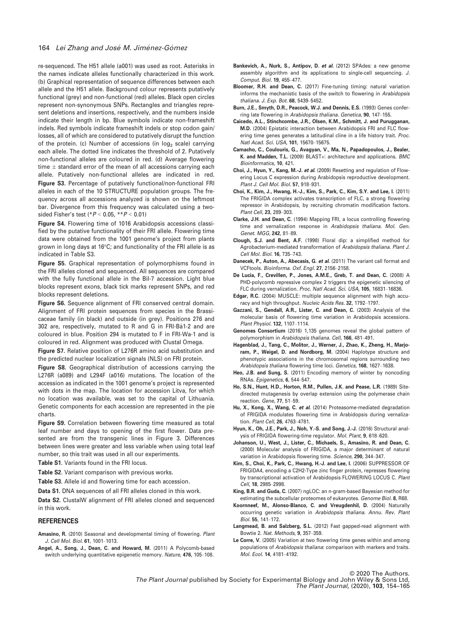## 164 Lei Zhang and José M. Jiménez-Gómez

re-sequenced. The H51 allele (a001) was used as root. Asterisks in the names indicate alleles functionally characterized in this work. (b) Graphical representation of sequence differences between each allele and the H51 allele. Background colour represents putatively functional (grey) and non-functional (red) alleles. Black open circles represent non-synonymous SNPs. Rectangles and triangles represent deletions and insertions, respectively, and the numbers inside indicate their length in bp. Blue symbols indicate non-frameshift indels. Red symbols indicate frameshift indels or stop codon gain/ losses, all of which are considered to putatively disrupt the function of the protein. (c) Number of accessions (in  $log<sub>2</sub>$  scale) carrying each allele. The dotted line indicates the threshold of 2. Putatively non-functional alleles are coloured in red. (d) Average flowering time  $\pm$  standard error of the mean of all accessions carrying each allele. Putatively non-functional alleles are indicated in red. Figure S3. Percentage of putatively functional/non-functional FRI alleles in each of the 10 STRUCTURE population groups. The frequency across all accessions analyzed is shown on the leftmost bar. Divergence from this frequency was calculated using a twosided Fisher's test ( $P < 0.05$ ,  $*P < 0.01$ )

Figure S4. Flowering time of 1016 Arabidopsis accessions classified by the putative functionality of their FRI allele. Flowering time data were obtained from the 1001 genome's project from plants grown in long days at 16°C; and functionality of the FRI allele is as indicated in Table S3.

Figure S5. Graphical representation of polymorphisms found in the FRI alleles cloned and sequenced. All sequences are compared with the fully functional allele in the Bil-7 accession. Light blue blocks represent exons, black tick marks represent SNPs, and red blocks represent deletions.

Figure S6. Sequence alignment of FRI conserved central domain. Alignment of FRI protein sequences from species in the Brassicaceae family (in black) and outside (in grey). Positions 276 and 302 are, respectively, mutated to R and G in FRI-Ba1-2 and are coloured in blue. Position 294 is mutated to F in FRI-Wa-1 and is coloured in red. Alignment was produced with Clustal Omega.

Figure S7. Relative position of L276R amino acid substitution and the predicted nuclear localization signals (NLS) on FRI protein.

Figure S8. Geographical distribution of accessions carrying the L276R (a089) and L294F (a016) mutations. The location of the accession as indicated in the 1001 genome's project is represented with dots in the map. The location for accession Litva, for which no location was available, was set to the capital of Lithuania. Genetic components for each accession are represented in the pie charts.

Figure S9. Correlation between flowering time measured as total leaf number and days to opening of the first flower. Data presented are from the transgenic lines in Figure 3. Differences between lines were greater and less variable when using total leaf number, so this trait was used in all our experiments.

Table S1. Variants found in the FRI locus.

Table S2. Variant comparison with previous works.

Table S3. Allele id and flowering time for each accession.

Data S1. DNA sequences of all FRI alleles cloned in this work.

Data S2. ClustalW alignment of FRI alleles cloned and sequenced in this work.

# **REFERENCES**

- Amasino, R. (2010) Seasonal and developmental timing of flowering. Plant J. Cell Mol. Biol. 61, 1001–1013.
- Angel, A., Song, J., Dean, C. and Howard, M. (2011) A Polycomb-based switch underlying quantitative epigenetic memory. Nature, 476, 105–108.
- Bankevich, A., Nurk, S., Antipov, D. et al. (2012) SPAdes: a new genome assembly algorithm and its applications to single-cell sequencing. J. Comput. Biol. 19, 455–477.
- Bloomer, R.H. and Dean, C. (2017) Fine-tuning timing: natural variation informs the mechanistic basis of the switch to flowering in Arabidopsis thaliana. J. Exp. Bot. 68, 5439–5452.
- Burn, J.E., Smyth, D.R., Peacock, W.J. and Dennis, E.S. (1993) Genes conferring late flowering in Arabidopsis thaliana. Genetica, 90, 147–155.
- Caicedo, A.L., Stinchcombe, J.R., Olsen, K.M., Schmitt, J. and Purugganan, M.D. (2004) Epistatic interaction between Arabidopsis FRI and FLC flowering time genes generates a latitudinal cline in a life history trait. Proc. Natl Acad. Sci. USA, 101, 15670–15675.
- Camacho, C., Coulouris, G., Avagyan, V., Ma, N., Papadopoulos, J., Bealer, K. and Madden, T.L. (2009) BLAST+: architecture and applications. BMC Bioinformatics, 10, 421.
- Choi, J., Hyun, Y., Kang, M.-J. et al. (2009) Resetting and regulation of Flowering Locus C expression during Arabidopsis reproductive development. Plant J. Cell Mol. Biol. 57, 918–931.
- Choi, K., Kim, J., Hwang, H.-J., Kim, S., Park, C., Kim, S.Y. and Lee, I. (2011) The FRIGIDA complex activates transcription of FLC, a strong flowering repressor in Arabidopsis, by recruiting chromatin modification factors. Plant Cell, 23, 289–303.
- Clarke, J.H. and Dean, C. (1994) Mapping FRI, a locus controlling flowering time and vernalization response in Arabidopsis thaliana. Mol. Gen. Genet. MGG, 242, 81–89.
- Clough, S.J. and Bent, A.F. (1998) Floral dip: a simplified method for Agrobacterium-mediated transformation of Arabidopsis thaliana. Plant J. Cell Mol. Biol. 16, 735–743.
- Danecek, P., Auton, A., Abecasis, G. et al. (2011) The variant call format and VCFtools. Bioinforma. Oxf. Engl. 27, 2156–2158.
- De Lucia, F., Crevillen, P., Jones, A.M.E., Greb, T. and Dean, C. (2008) A PHD-polycomb repressive complex 2 triggers the epigenetic silencing of FLC during vernalization. Proc. Natl Acad. Sci. USA, 105, 16831–16836.
- Edgar, R.C. (2004) MUSCLE: multiple sequence alignment with high accuracy and high throughput. Nucleic Acids Res. 32, 1792–1797.
- Gazzani, S., Gendall, A.R., Lister, C. and Dean, C. (2003) Analysis of the molecular basis of flowering time variation in Arabidopsis accessions. Plant Physiol. 132, 1107–1114.
- Genomes Consortium (2016) 1,135 genomes reveal the global pattern of polymorphism in Arabidopsis thaliana. Cell, 166, 481–491.
- Hagenblad, J., Tang, C., Molitor, J., Werner, J., Zhao, K., Zheng, H., Marjoram, P., Weigel, D. and Nordborg, M. (2004) Haplotype structure and phenotypic associations in the chromosomal regions surrounding two Arabidopsis thaliana flowering time loci. Genetics, 168, 1627–1638.
- Heo, J.B. and Sung, S. (2011) Encoding memory of winter by noncoding RNAs. Epigenetics, 6, 544–547.
- Ho, S.N., Hunt, H.D., Horton, R.M., Pullen, J.K. and Pease, L.R. (1989) Sitedirected mutagenesis by overlap extension using the polymerase chain reaction. Gene, 77, 51–59.
- Hu, X., Kong, X., Wang, C. et al. (2014) Proteasome-mediated degradation of FRIGIDA modulates flowering time in Arabidopsis during vernalization. Plant Cell, 26, 4763–4781.
- Hyun, K., Oh, J.E., Park, J., Noh, Y.-S. and Song, J.-J. (2016) Structural analysis of FRIGIDA flowering-time regulator. Mol. Plant, 9, 618–620.
- Johanson, U., West, J., Lister, C., Michaels, S., Amasino, R. and Dean, C. (2000) Molecular analysis of FRIGIDA, a major determinant of natural variation in Arabidopsis flowering time. Science, 290, 344–347.
- Kim, S., Choi, K., Park, C., Hwang, H.-J. and Lee, I. (2006) SUPPRESSOR OF FRIGIDA4, encoding a C2H2-Type zinc finger protein, represses flowering by transcriptional activation of Arabidopsis FLOWERING LOCUS C. Plant Cell, 18, 2985–2998.
- King, B.R. and Guda, C. (2007) ngLOC: an n-gram-based Bayesian method for estimating the subcellular proteomes of eukaryotes. Genome Biol. 8, R68.
- Koornneef, M., Alonso-Blanco, C. and Vreugdenhil, D. (2004) Naturally occurring genetic variation in Arabidopsis thaliana. Annu. Rev. Plant Biol. 55, 141–172.
- Langmead, B. and Salzberg, S.L. (2012) Fast gapped-read alignment with Bowtie 2. Nat. Methods, 9, 357–359.
- Le Corre, V. (2005) Variation at two flowering time genes within and among populations of Arabidopsis thaliana: comparison with markers and traits. Mol. Ecol. 14, 4181–4192.